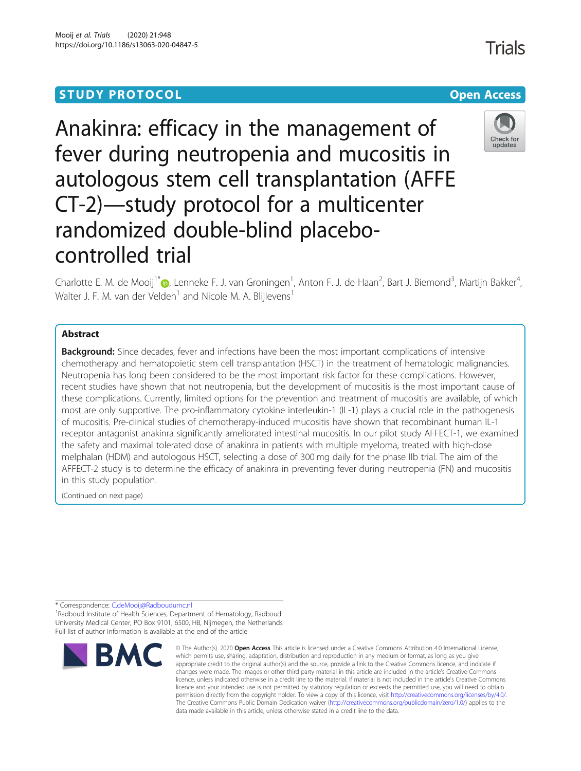# **STUDY PROTOCOL CONSUMING THE CONSUMING OPEN ACCESS**

Anakinra: efficacy in the management of fever during neutropenia and mucositis in autologous stem cell transplantation (AFFE CT-2)—study protocol for a multicenter randomized double-blind placebocontrolled trial



Charlotte E. M. de Mooij<sup>1\*</sup>®[,](http://orcid.org/0000-0003-3210-2215) Lenneke F. J. van Groningen<sup>1</sup>, Anton F. J. de Haan<sup>2</sup>, Bart J. Biemond<sup>3</sup>, Martijn Bakker<sup>4</sup> , Walter J. F. M. van der Velden<sup>1</sup> and Nicole M. A. Blijlevens<sup>1</sup>

## Abstract

**Background:** Since decades, fever and infections have been the most important complications of intensive chemotherapy and hematopoietic stem cell transplantation (HSCT) in the treatment of hematologic malignancies. Neutropenia has long been considered to be the most important risk factor for these complications. However, recent studies have shown that not neutropenia, but the development of mucositis is the most important cause of these complications. Currently, limited options for the prevention and treatment of mucositis are available, of which most are only supportive. The pro-inflammatory cytokine interleukin-1 (IL-1) plays a crucial role in the pathogenesis of mucositis. Pre-clinical studies of chemotherapy-induced mucositis have shown that recombinant human IL-1 receptor antagonist anakinra significantly ameliorated intestinal mucositis. In our pilot study AFFECT-1, we examined the safety and maximal tolerated dose of anakinra in patients with multiple myeloma, treated with high-dose melphalan (HDM) and autologous HSCT, selecting a dose of 300 mg daily for the phase IIb trial. The aim of the AFFECT-2 study is to determine the efficacy of anakinra in preventing fever during neutropenia (FN) and mucositis in this study population.

(Continued on next page)

\* Correspondence: [C.deMooij@Radboudumc.nl](mailto:C.deMooij@Radboudumc.nl) <sup>1</sup>

<sup>1</sup>Radboud Institute of Health Sciences, Department of Hematology, Radboud University Medical Center, PO Box 9101, 6500, HB, Nijmegen, the Netherlands Full list of author information is available at the end of the article



<sup>©</sup> The Author(s), 2020 **Open Access** This article is licensed under a Creative Commons Attribution 4.0 International License, which permits use, sharing, adaptation, distribution and reproduction in any medium or format, as long as you give appropriate credit to the original author(s) and the source, provide a link to the Creative Commons licence, and indicate if changes were made. The images or other third party material in this article are included in the article's Creative Commons licence, unless indicated otherwise in a credit line to the material. If material is not included in the article's Creative Commons licence and your intended use is not permitted by statutory regulation or exceeds the permitted use, you will need to obtain permission directly from the copyright holder. To view a copy of this licence, visit [http://creativecommons.org/licenses/by/4.0/.](http://creativecommons.org/licenses/by/4.0/) The Creative Commons Public Domain Dedication waiver [\(http://creativecommons.org/publicdomain/zero/1.0/](http://creativecommons.org/publicdomain/zero/1.0/)) applies to the data made available in this article, unless otherwise stated in a credit line to the data.

Trials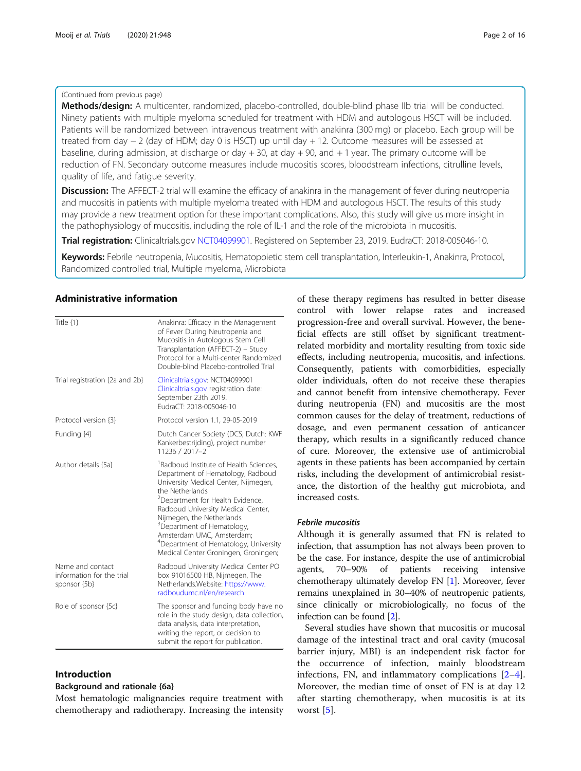## (Continued from previous page)

Methods/design: A multicenter, randomized, placebo-controlled, double-blind phase IIb trial will be conducted. Ninety patients with multiple myeloma scheduled for treatment with HDM and autologous HSCT will be included. Patients will be randomized between intravenous treatment with anakinra (300 mg) or placebo. Each group will be treated from day − 2 (day of HDM; day 0 is HSCT) up until day + 12. Outcome measures will be assessed at baseline, during admission, at discharge or day + 30, at day + 90, and + 1 year. The primary outcome will be reduction of FN. Secondary outcome measures include mucositis scores, bloodstream infections, citrulline levels, quality of life, and fatigue severity.

Discussion: The AFFECT-2 trial will examine the efficacy of anakinra in the management of fever during neutropenia and mucositis in patients with multiple myeloma treated with HDM and autologous HSCT. The results of this study may provide a new treatment option for these important complications. Also, this study will give us more insight in the pathophysiology of mucositis, including the role of IL-1 and the role of the microbiota in mucositis.

Trial registration: Clinicaltrials.gov [NCT04099901.](https://clinicaltrials.gov/ct2/show/NCT04099901) Registered on September 23, 2019. EudraCT: 2018-005046-10.

Keywords: Febrile neutropenia, Mucositis, Hematopoietic stem cell transplantation, Interleukin-1, Anakinra, Protocol, Randomized controlled trial, Multiple myeloma, Microbiota

## Administrative information

| Title {1}                                                     | Anakinra: Efficacy in the Management<br>of Fever During Neutropenia and<br>Mucositis in Autologous Stem Cell<br>Transplantation (AFFECT-2) - Study<br>Protocol for a Multi-center Randomized<br>Double-blind Placebo-controlled Trial                                                                                                                                                                                                     |
|---------------------------------------------------------------|-------------------------------------------------------------------------------------------------------------------------------------------------------------------------------------------------------------------------------------------------------------------------------------------------------------------------------------------------------------------------------------------------------------------------------------------|
| Trial registration {2a and 2b}                                | Clinicaltrials.gov: NCT04099901<br>Clinicaltrials.gov registration date:<br>September 23th 2019.<br>EudraCT: 2018-005046-10                                                                                                                                                                                                                                                                                                               |
| Protocol version {3}                                          | Protocol version 1.1, 29-05-2019                                                                                                                                                                                                                                                                                                                                                                                                          |
| Funding {4}                                                   | Dutch Cancer Society (DCS; Dutch: KWF<br>Kankerbestrijding), project number<br>11236 / 2017-2                                                                                                                                                                                                                                                                                                                                             |
| Author details {5a}                                           | <sup>1</sup> Radboud Institute of Health Sciences,<br>Department of Hematology, Radboud<br>University Medical Center, Nijmegen,<br>the Netherlands<br><sup>2</sup> Department for Health Evidence,<br>Radboud University Medical Center,<br>Nijmegen, the Netherlands<br><sup>3</sup> Department of Hematology,<br>Amsterdam UMC, Amsterdam;<br><sup>4</sup> Department of Hematology, University<br>Medical Center Groningen, Groningen; |
| Name and contact<br>information for the trial<br>sponsor {5b} | Radboud University Medical Center PO<br>box 91016500 HB, Nijmegen, The<br>Netherlands.Website: https://www.<br>radboudumc.nl/en/research                                                                                                                                                                                                                                                                                                  |
| Role of sponsor {5c}                                          | The sponsor and funding body have no<br>role in the study design, data collection,<br>data analysis, data interpretation,<br>writing the report, or decision to<br>submit the report for publication.                                                                                                                                                                                                                                     |

## Introduction

## Background and rationale {6a}

Most hematologic malignancies require treatment with chemotherapy and radiotherapy. Increasing the intensity

of these therapy regimens has resulted in better disease control with lower relapse rates and increased progression-free and overall survival. However, the beneficial effects are still offset by significant treatmentrelated morbidity and mortality resulting from toxic side effects, including neutropenia, mucositis, and infections. Consequently, patients with comorbidities, especially older individuals, often do not receive these therapies and cannot benefit from intensive chemotherapy. Fever during neutropenia (FN) and mucositis are the most common causes for the delay of treatment, reductions of dosage, and even permanent cessation of anticancer therapy, which results in a significantly reduced chance of cure. Moreover, the extensive use of antimicrobial agents in these patients has been accompanied by certain risks, including the development of antimicrobial resistance, the distortion of the healthy gut microbiota, and increased costs.

### Febrile mucositis

Although it is generally assumed that FN is related to infection, that assumption has not always been proven to be the case. For instance, despite the use of antimicrobial agents, 70–90% of patients receiving intensive chemotherapy ultimately develop FN [\[1\]](#page-14-0). Moreover, fever remains unexplained in 30–40% of neutropenic patients, since clinically or microbiologically, no focus of the infection can be found [\[2](#page-14-0)].

Several studies have shown that mucositis or mucosal damage of the intestinal tract and oral cavity (mucosal barrier injury, MBI) is an independent risk factor for the occurrence of infection, mainly bloodstream infections, FN, and inflammatory complications  $[2-4]$  $[2-4]$  $[2-4]$  $[2-4]$ . Moreover, the median time of onset of FN is at day 12 after starting chemotherapy, when mucositis is at its worst  $[5]$  $[5]$ .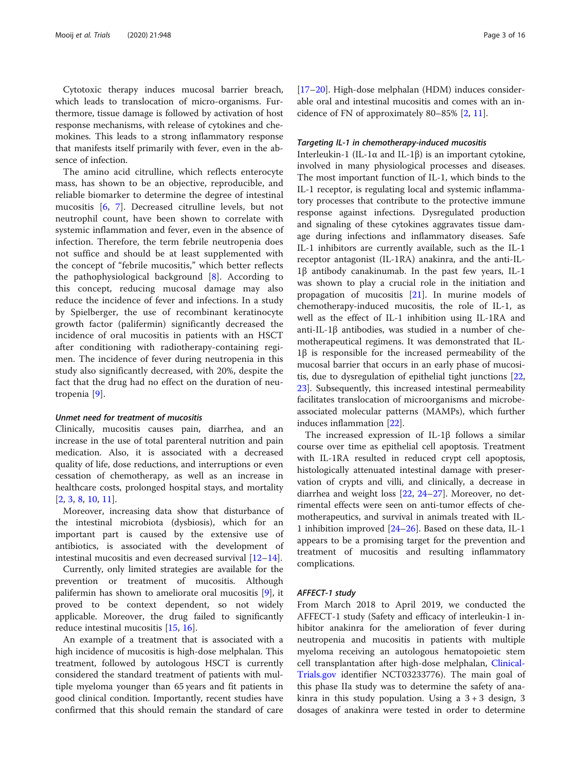Cytotoxic therapy induces mucosal barrier breach, which leads to translocation of micro-organisms. Furthermore, tissue damage is followed by activation of host response mechanisms, with release of cytokines and chemokines. This leads to a strong inflammatory response that manifests itself primarily with fever, even in the absence of infection.

The amino acid citrulline, which reflects enterocyte mass, has shown to be an objective, reproducible, and reliable biomarker to determine the degree of intestinal mucositis [\[6](#page-14-0), [7](#page-14-0)]. Decreased citrulline levels, but not neutrophil count, have been shown to correlate with systemic inflammation and fever, even in the absence of infection. Therefore, the term febrile neutropenia does not suffice and should be at least supplemented with the concept of "febrile mucositis," which better reflects the pathophysiological background [[8\]](#page-14-0). According to this concept, reducing mucosal damage may also reduce the incidence of fever and infections. In a study by Spielberger, the use of recombinant keratinocyte growth factor (palifermin) significantly decreased the incidence of oral mucositis in patients with an HSCT after conditioning with radiotherapy-containing regimen. The incidence of fever during neutropenia in this study also significantly decreased, with 20%, despite the fact that the drug had no effect on the duration of neutropenia [[9\]](#page-14-0).

## Unmet need for treatment of mucositis

Clinically, mucositis causes pain, diarrhea, and an increase in the use of total parenteral nutrition and pain medication. Also, it is associated with a decreased quality of life, dose reductions, and interruptions or even cessation of chemotherapy, as well as an increase in healthcare costs, prolonged hospital stays, and mortality [[2,](#page-14-0) [3,](#page-14-0) [8,](#page-14-0) [10,](#page-14-0) [11\]](#page-14-0).

Moreover, increasing data show that disturbance of the intestinal microbiota (dysbiosis), which for an important part is caused by the extensive use of antibiotics, is associated with the development of intestinal mucositis and even decreased survival [[12](#page-14-0)–[14](#page-14-0)].

Currently, only limited strategies are available for the prevention or treatment of mucositis. Although palifermin has shown to ameliorate oral mucositis [\[9](#page-14-0)], it proved to be context dependent, so not widely applicable. Moreover, the drug failed to significantly reduce intestinal mucositis [\[15](#page-14-0), [16](#page-14-0)].

An example of a treatment that is associated with a high incidence of mucositis is high-dose melphalan. This treatment, followed by autologous HSCT is currently considered the standard treatment of patients with multiple myeloma younger than 65 years and fit patients in good clinical condition. Importantly, recent studies have confirmed that this should remain the standard of care

[[17](#page-14-0)–[20](#page-14-0)]. High-dose melphalan (HDM) induces considerable oral and intestinal mucositis and comes with an incidence of FN of approximately 80–85% [\[2](#page-14-0), [11](#page-14-0)].

#### Targeting IL-1 in chemotherapy-induced mucositis

Interleukin-1 (IL-1α and IL-1β) is an important cytokine, involved in many physiological processes and diseases. The most important function of IL-1, which binds to the IL-1 receptor, is regulating local and systemic inflammatory processes that contribute to the protective immune response against infections. Dysregulated production and signaling of these cytokines aggravates tissue damage during infections and inflammatory diseases. Safe IL-1 inhibitors are currently available, such as the IL-1 receptor antagonist (IL-1RA) anakinra, and the anti-IL-1β antibody canakinumab. In the past few years, IL-1 was shown to play a crucial role in the initiation and propagation of mucositis [[21\]](#page-14-0). In murine models of chemotherapy-induced mucositis, the role of IL-1, as well as the effect of IL-1 inhibition using IL-1RA and anti-IL-1β antibodies, was studied in a number of chemotherapeutical regimens. It was demonstrated that IL-1β is responsible for the increased permeability of the mucosal barrier that occurs in an early phase of mucositis, due to dysregulation of epithelial tight junctions [[22](#page-14-0), [23\]](#page-14-0). Subsequently, this increased intestinal permeability facilitates translocation of microorganisms and microbeassociated molecular patterns (MAMPs), which further induces inflammation [[22](#page-14-0)].

The increased expression of IL-1β follows a similar course over time as epithelial cell apoptosis. Treatment with IL-1RA resulted in reduced crypt cell apoptosis, histologically attenuated intestinal damage with preservation of crypts and villi, and clinically, a decrease in diarrhea and weight loss [[22,](#page-14-0) [24](#page-14-0)–[27\]](#page-15-0). Moreover, no detrimental effects were seen on anti-tumor effects of chemotherapeutics, and survival in animals treated with IL-1 inhibition improved [[24](#page-14-0)–[26](#page-14-0)]. Based on these data, IL-1 appears to be a promising target for the prevention and treatment of mucositis and resulting inflammatory complications.

#### AFFECT-1 study

From March 2018 to April 2019, we conducted the AFFECT-1 study (Safety and efficacy of interleukin-1 inhibitor anakinra for the amelioration of fever during neutropenia and mucositis in patients with multiple myeloma receiving an autologous hematopoietic stem cell transplantation after high-dose melphalan, [Clinical-](http://clinicaltrials.gov)[Trials.gov](http://clinicaltrials.gov) identifier NCT03233776). The main goal of this phase IIa study was to determine the safety of anakinra in this study population. Using a  $3 + 3$  design, 3 dosages of anakinra were tested in order to determine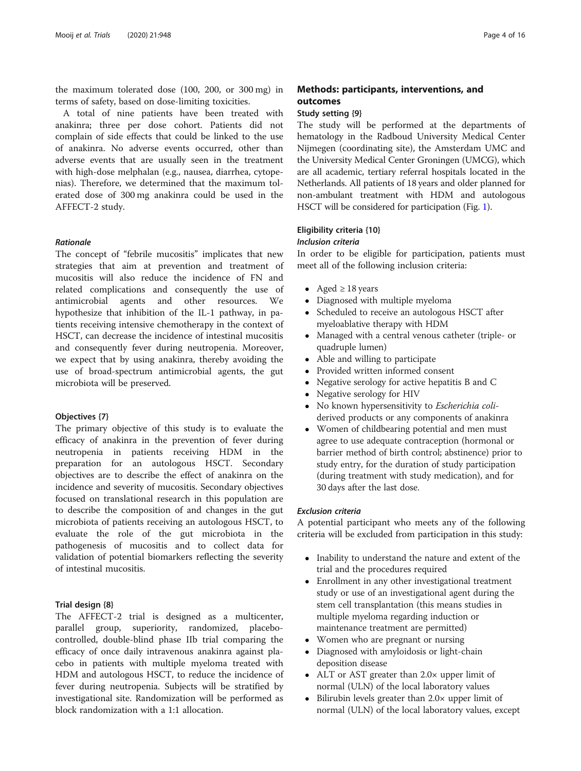the maximum tolerated dose (100, 200, or 300 mg) in terms of safety, based on dose-limiting toxicities.

A total of nine patients have been treated with anakinra; three per dose cohort. Patients did not complain of side effects that could be linked to the use of anakinra. No adverse events occurred, other than adverse events that are usually seen in the treatment with high-dose melphalan (e.g., nausea, diarrhea, cytopenias). Therefore, we determined that the maximum tolerated dose of 300 mg anakinra could be used in the AFFECT-2 study.

### Rationale

The concept of "febrile mucositis" implicates that new strategies that aim at prevention and treatment of mucositis will also reduce the incidence of FN and related complications and consequently the use of antimicrobial agents and other resources. We hypothesize that inhibition of the IL-1 pathway, in patients receiving intensive chemotherapy in the context of HSCT, can decrease the incidence of intestinal mucositis and consequently fever during neutropenia. Moreover, we expect that by using anakinra, thereby avoiding the use of broad-spectrum antimicrobial agents, the gut microbiota will be preserved.

#### Objectives {7}

The primary objective of this study is to evaluate the efficacy of anakinra in the prevention of fever during neutropenia in patients receiving HDM in the preparation for an autologous HSCT. Secondary objectives are to describe the effect of anakinra on the incidence and severity of mucositis. Secondary objectives focused on translational research in this population are to describe the composition of and changes in the gut microbiota of patients receiving an autologous HSCT, to evaluate the role of the gut microbiota in the pathogenesis of mucositis and to collect data for validation of potential biomarkers reflecting the severity of intestinal mucositis.

#### Trial design {8}

The AFFECT-2 trial is designed as a multicenter, parallel group, superiority, randomized, placebocontrolled, double-blind phase IIb trial comparing the efficacy of once daily intravenous anakinra against placebo in patients with multiple myeloma treated with HDM and autologous HSCT, to reduce the incidence of fever during neutropenia. Subjects will be stratified by investigational site. Randomization will be performed as block randomization with a 1:1 allocation.

## Methods: participants, interventions, and outcomes

## Study setting {9}

The study will be performed at the departments of hematology in the Radboud University Medical Center Nijmegen (coordinating site), the Amsterdam UMC and the University Medical Center Groningen (UMCG), which are all academic, tertiary referral hospitals located in the Netherlands. All patients of 18 years and older planned for non-ambulant treatment with HDM and autologous HSCT will be considered for participation (Fig. [1\)](#page-4-0).

### Eligibility criteria {10} Inclusion criteria

In order to be eligible for participation, patients must meet all of the following inclusion criteria:

- Aged  $\geq$  18 years
- Diagnosed with multiple myeloma
- Scheduled to receive an autologous HSCT after myeloablative therapy with HDM
- Managed with a central venous catheter (triple- or quadruple lumen)
- Able and willing to participate
- Provided written informed consent
- Negative serology for active hepatitis B and C
- Negative serology for HIV
- No known hypersensitivity to Escherichia coliderived products or any components of anakinra
- Women of childbearing potential and men must agree to use adequate contraception (hormonal or barrier method of birth control; abstinence) prior to study entry, for the duration of study participation (during treatment with study medication), and for 30 days after the last dose.

### Exclusion criteria

A potential participant who meets any of the following criteria will be excluded from participation in this study:

- Inability to understand the nature and extent of the trial and the procedures required
- Enrollment in any other investigational treatment study or use of an investigational agent during the stem cell transplantation (this means studies in multiple myeloma regarding induction or maintenance treatment are permitted)
- Women who are pregnant or nursing
- Diagnosed with amyloidosis or light-chain deposition disease
- ALT or AST greater than 2.0× upper limit of normal (ULN) of the local laboratory values
- $\bullet$  Bilirubin levels greater than 2.0 $\times$  upper limit of normal (ULN) of the local laboratory values, except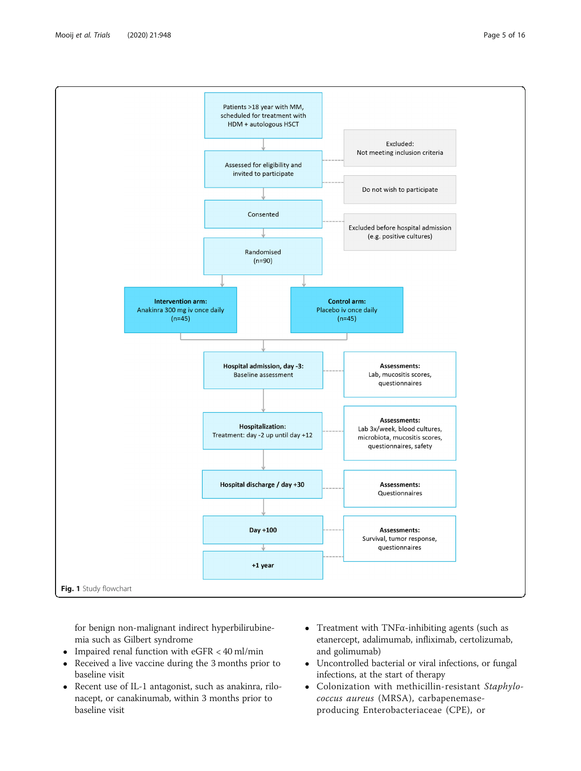<span id="page-4-0"></span>Mooij et al. Trials (2020) 21:948 Page 5 of 16



for benign non-malignant indirect hyperbilirubinemia such as Gilbert syndrome

- Impaired renal function with eGFR < 40 ml/min
- Received a live vaccine during the 3 months prior to baseline visit
- Recent use of IL-1 antagonist, such as anakinra, rilonacept, or canakinumab, within 3 months prior to baseline visit
- Treatment with  $TNF\alpha$ -inhibiting agents (such as etanercept, adalimumab, infliximab, certolizumab, and golimumab)
- Uncontrolled bacterial or viral infections, or fungal infections, at the start of therapy
- Colonization with methicillin-resistant Staphylococcus aureus (MRSA), carbapenemaseproducing Enterobacteriaceae (CPE), or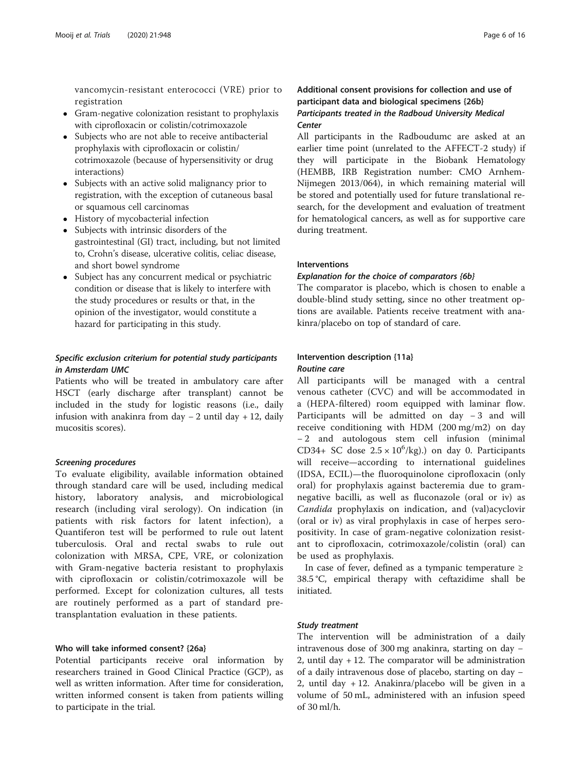vancomycin-resistant enterococci (VRE) prior to registration

- Gram-negative colonization resistant to prophylaxis with ciprofloxacin or colistin/cotrimoxazole
- Subjects who are not able to receive antibacterial prophylaxis with ciprofloxacin or colistin/ cotrimoxazole (because of hypersensitivity or drug interactions)
- Subjects with an active solid malignancy prior to registration, with the exception of cutaneous basal or squamous cell carcinomas
- History of mycobacterial infection
- Subjects with intrinsic disorders of the gastrointestinal (GI) tract, including, but not limited to, Crohn's disease, ulcerative colitis, celiac disease, and short bowel syndrome
- Subject has any concurrent medical or psychiatric condition or disease that is likely to interfere with the study procedures or results or that, in the opinion of the investigator, would constitute a hazard for participating in this study.

## Specific exclusion criterium for potential study participants in Amsterdam UMC

Patients who will be treated in ambulatory care after HSCT (early discharge after transplant) cannot be included in the study for logistic reasons (i.e., daily infusion with anakinra from day  $-2$  until day  $+12$ , daily mucositis scores).

### Screening procedures

To evaluate eligibility, available information obtained through standard care will be used, including medical history, laboratory analysis, and microbiological research (including viral serology). On indication (in patients with risk factors for latent infection), a Quantiferon test will be performed to rule out latent tuberculosis. Oral and rectal swabs to rule out colonization with MRSA, CPE, VRE, or colonization with Gram-negative bacteria resistant to prophylaxis with ciprofloxacin or colistin/cotrimoxazole will be performed. Except for colonization cultures, all tests are routinely performed as a part of standard pretransplantation evaluation in these patients.

### Who will take informed consent? {26a}

Potential participants receive oral information by researchers trained in Good Clinical Practice (GCP), as well as written information. After time for consideration, written informed consent is taken from patients willing to participate in the trial.

## Additional consent provisions for collection and use of participant data and biological specimens {26b} Participants treated in the Radboud University Medical **Center**

All participants in the Radboudumc are asked at an earlier time point (unrelated to the AFFECT-2 study) if they will participate in the Biobank Hematology (HEMBB, IRB Registration number: CMO Arnhem-Nijmegen 2013/064), in which remaining material will be stored and potentially used for future translational research, for the development and evaluation of treatment for hematological cancers, as well as for supportive care during treatment.

### Interventions

## Explanation for the choice of comparators {6b}

The comparator is placebo, which is chosen to enable a double-blind study setting, since no other treatment options are available. Patients receive treatment with anakinra/placebo on top of standard of care.

## Intervention description {11a}

## Routine care

All participants will be managed with a central venous catheter (CVC) and will be accommodated in a (HEPA-filtered) room equipped with laminar flow. Participants will be admitted on day − 3 and will receive conditioning with HDM (200 mg/m2) on day − 2 and autologous stem cell infusion (minimal CD34+ SC dose  $2.5 \times 10^6$ /kg).) on day 0. Participants will receive—according to international guidelines (IDSA, ECIL)—the fluoroquinolone ciprofloxacin (only oral) for prophylaxis against bacteremia due to gramnegative bacilli, as well as fluconazole (oral or iv) as Candida prophylaxis on indication, and (val)acyclovir (oral or iv) as viral prophylaxis in case of herpes seropositivity. In case of gram-negative colonization resistant to ciprofloxacin, cotrimoxazole/colistin (oral) can be used as prophylaxis.

In case of fever, defined as a tympanic temperature ≥ 38.5 °C, empirical therapy with ceftazidime shall be initiated.

## Study treatment

The intervention will be administration of a daily intravenous dose of 300 mg anakinra, starting on day − 2, until day + 12. The comparator will be administration of a daily intravenous dose of placebo, starting on day − 2, until day + 12. Anakinra/placebo will be given in a volume of 50 mL, administered with an infusion speed of 30 ml/h.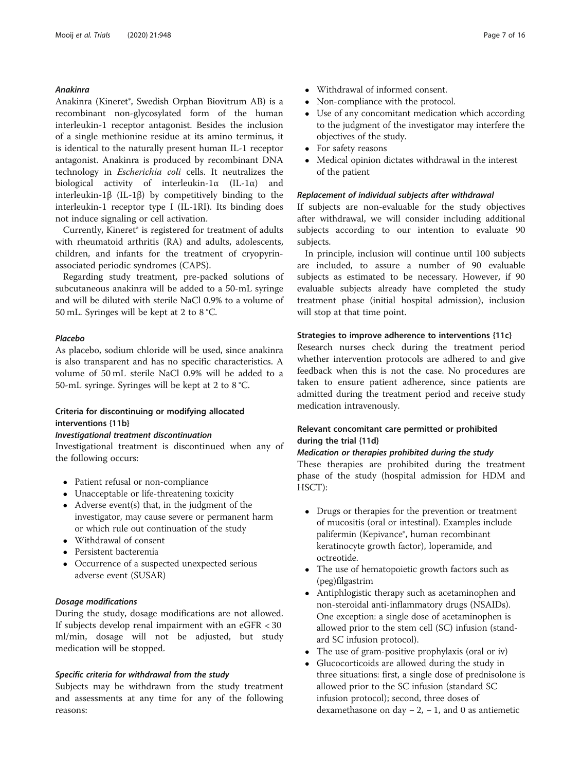## Anakinra

Anakinra (Kineret®, Swedish Orphan Biovitrum AB) is a recombinant non-glycosylated form of the human interleukin-1 receptor antagonist. Besides the inclusion of a single methionine residue at its amino terminus, it is identical to the naturally present human IL-1 receptor antagonist. Anakinra is produced by recombinant DNA technology in Escherichia coli cells. It neutralizes the biological activity of interleukin-1α (IL-1α) and interleukin-1β (IL-1β) by competitively binding to the interleukin-1 receptor type I (IL-1RI). Its binding does not induce signaling or cell activation.

Currently, Kineret® is registered for treatment of adults with rheumatoid arthritis (RA) and adults, adolescents, children, and infants for the treatment of cryopyrinassociated periodic syndromes (CAPS).

Regarding study treatment, pre-packed solutions of subcutaneous anakinra will be added to a 50-mL syringe and will be diluted with sterile NaCl 0.9% to a volume of 50 mL. Syringes will be kept at 2 to 8 °C.

### Placebo

As placebo, sodium chloride will be used, since anakinra is also transparent and has no specific characteristics. A volume of 50 mL sterile NaCl 0.9% will be added to a 50-mL syringe. Syringes will be kept at 2 to 8 °C.

## Criteria for discontinuing or modifying allocated interventions {11b}

#### Investigational treatment discontinuation

Investigational treatment is discontinued when any of the following occurs:

- Patient refusal or non-compliance
- Unacceptable or life-threatening toxicity
- $\bullet$  Adverse event(s) that, in the judgment of the investigator, may cause severe or permanent harm or which rule out continuation of the study
- Withdrawal of consent
- Persistent bacteremia
- Occurrence of a suspected unexpected serious adverse event (SUSAR)

## Dosage modifications

During the study, dosage modifications are not allowed. If subjects develop renal impairment with an eGFR < 30 ml/min, dosage will not be adjusted, but study medication will be stopped.

#### Specific criteria for withdrawal from the study

Subjects may be withdrawn from the study treatment and assessments at any time for any of the following reasons:

- Withdrawal of informed consent.
- Non-compliance with the protocol.
- Use of any concomitant medication which according to the judgment of the investigator may interfere the objectives of the study.
- For safety reasons<br>• Medical opinion d
- Medical opinion dictates withdrawal in the interest of the patient

## Replacement of individual subjects after withdrawal

If subjects are non-evaluable for the study objectives after withdrawal, we will consider including additional subjects according to our intention to evaluate 90 subjects.

In principle, inclusion will continue until 100 subjects are included, to assure a number of 90 evaluable subjects as estimated to be necessary. However, if 90 evaluable subjects already have completed the study treatment phase (initial hospital admission), inclusion will stop at that time point.

### Strategies to improve adherence to interventions {11c}

Research nurses check during the treatment period whether intervention protocols are adhered to and give feedback when this is not the case. No procedures are taken to ensure patient adherence, since patients are admitted during the treatment period and receive study medication intravenously.

## Relevant concomitant care permitted or prohibited during the trial {11d}

## Medication or therapies prohibited during the study

These therapies are prohibited during the treatment phase of the study (hospital admission for HDM and HSCT):

- Drugs or therapies for the prevention or treatment of mucositis (oral or intestinal). Examples include palifermin (Kepivance®, human recombinant keratinocyte growth factor), loperamide, and octreotide.
- The use of hematopoietic growth factors such as (peg)filgastrim
- Antiphlogistic therapy such as acetaminophen and non-steroidal anti-inflammatory drugs (NSAIDs). One exception: a single dose of acetaminophen is allowed prior to the stem cell (SC) infusion (standard SC infusion protocol).
- The use of gram-positive prophylaxis (oral or iv)
- Glucocorticoids are allowed during the study in three situations: first, a single dose of prednisolone is allowed prior to the SC infusion (standard SC infusion protocol); second, three doses of dexamethasone on day  $-2$ ,  $-1$ , and 0 as antiemetic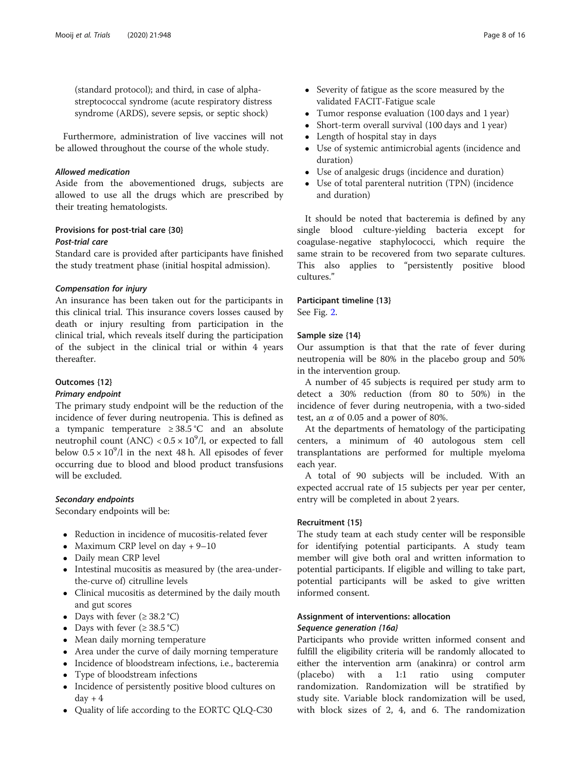(standard protocol); and third, in case of alphastreptococcal syndrome (acute respiratory distress syndrome (ARDS), severe sepsis, or septic shock)

Furthermore, administration of live vaccines will not be allowed throughout the course of the whole study.

#### Allowed medication

Aside from the abovementioned drugs, subjects are allowed to use all the drugs which are prescribed by their treating hematologists.

## Provisions for post-trial care {30} Post-trial care

Standard care is provided after participants have finished the study treatment phase (initial hospital admission).

### Compensation for injury

An insurance has been taken out for the participants in this clinical trial. This insurance covers losses caused by death or injury resulting from participation in the clinical trial, which reveals itself during the participation of the subject in the clinical trial or within 4 years thereafter.

## Outcomes {12}

## Primary endpoint

The primary study endpoint will be the reduction of the incidence of fever during neutropenia. This is defined as a tympanic temperature  $\geq 38.5$  °C and an absolute neutrophil count  $(ANC) < 0.5 \times 10^9/l$ , or expected to fall below  $0.5 \times 10^9$ /l in the next 48 h. All episodes of fever occurring due to blood and blood product transfusions will be excluded.

## Secondary endpoints

Secondary endpoints will be:

- Reduction in incidence of mucositis-related fever
- Maximum CRP level on day  $+9-10$
- Daily mean CRP level
- Intestinal mucositis as measured by (the area-underthe-curve of) citrulline levels
- Clinical mucositis as determined by the daily mouth and gut scores
- Days with fever  $(\geq 38.2 \degree C)$
- Days with fever  $(\geq 38.5 \degree C)$
- Mean daily morning temperature
- Area under the curve of daily morning temperature
- Incidence of bloodstream infections, i.e., bacteremia
- Type of bloodstream infections
- Incidence of persistently positive blood cultures on  $day + 4$
- Quality of life according to the EORTC QLQ-C30
- Severity of fatigue as the score measured by the validated FACIT-Fatigue scale
- Tumor response evaluation (100 days and 1 year)
- Short-term overall survival (100 days and 1 year)
- Length of hospital stay in days
- Use of systemic antimicrobial agents (incidence and duration)
- Use of analgesic drugs (incidence and duration)
- Use of total parenteral nutrition (TPN) (incidence and duration)

It should be noted that bacteremia is defined by any single blood culture-yielding bacteria except for coagulase-negative staphylococci, which require the same strain to be recovered from two separate cultures. This also applies to "persistently positive blood cultures."

## Participant timeline {13}

See Fig. [2.](#page-8-0)

## Sample size {14}

Our assumption is that that the rate of fever during neutropenia will be 80% in the placebo group and 50% in the intervention group.

A number of 45 subjects is required per study arm to detect a 30% reduction (from 80 to 50%) in the incidence of fever during neutropenia, with a two-sided test, an  $\alpha$  of 0.05 and a power of 80%.

At the departments of hematology of the participating centers, a minimum of 40 autologous stem cell transplantations are performed for multiple myeloma each year.

A total of 90 subjects will be included. With an expected accrual rate of 15 subjects per year per center, entry will be completed in about 2 years.

## Recruitment {15}

The study team at each study center will be responsible for identifying potential participants. A study team member will give both oral and written information to potential participants. If eligible and willing to take part, potential participants will be asked to give written informed consent.

## Assignment of interventions: allocation

#### Sequence generation {16a}

Participants who provide written informed consent and fulfill the eligibility criteria will be randomly allocated to either the intervention arm (anakinra) or control arm (placebo) with a 1:1 ratio using computer randomization. Randomization will be stratified by study site. Variable block randomization will be used, with block sizes of 2, 4, and 6. The randomization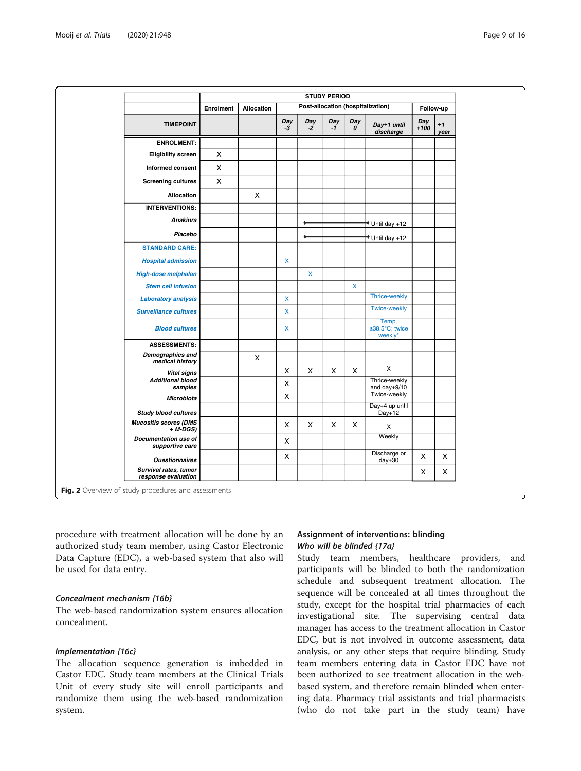<span id="page-8-0"></span>

|                                                  | <b>STUDY PERIOD</b> |                   |                                   |              |             |          |                                    |               |              |  |  |
|--------------------------------------------------|---------------------|-------------------|-----------------------------------|--------------|-------------|----------|------------------------------------|---------------|--------------|--|--|
|                                                  | Enrolment           | <b>Allocation</b> | Post-allocation (hospitalization) |              |             |          |                                    |               | Follow-up    |  |  |
| <b>TIMEPOINT</b>                                 |                     |                   | Day<br>-3                         | Day<br>$-2$  | Day<br>$-1$ | Day<br>0 | Day+1 until<br>discharge           | Day<br>$+100$ | $+1$<br>year |  |  |
| <b>ENROLMENT:</b>                                |                     |                   |                                   |              |             |          |                                    |               |              |  |  |
| <b>Eligibility screen</b>                        | X                   |                   |                                   |              |             |          |                                    |               |              |  |  |
| Informed consent                                 | X                   |                   |                                   |              |             |          |                                    |               |              |  |  |
| <b>Screening cultures</b>                        | X                   |                   |                                   |              |             |          |                                    |               |              |  |  |
| <b>Allocation</b>                                |                     | X                 |                                   |              |             |          |                                    |               |              |  |  |
| <b>INTERVENTIONS:</b>                            |                     |                   |                                   |              |             |          |                                    |               |              |  |  |
| Anakinra                                         |                     |                   |                                   |              |             |          | Until day +12                      |               |              |  |  |
| Placebo                                          |                     |                   |                                   |              |             |          | Until day +12                      |               |              |  |  |
| <b>STANDARD CARE:</b>                            |                     |                   |                                   |              |             |          |                                    |               |              |  |  |
| <b>Hospital admission</b>                        |                     |                   | $\mathsf{x}$                      |              |             |          |                                    |               |              |  |  |
| <b>High-dose melphalan</b>                       |                     |                   |                                   | $\mathsf{x}$ |             |          |                                    |               |              |  |  |
| <b>Stem cell infusion</b>                        |                     |                   |                                   |              |             | X        |                                    |               |              |  |  |
| <b>Laboratory analysis</b>                       |                     |                   | X                                 |              |             |          | <b>Thrice-weekly</b>               |               |              |  |  |
| <b>Surveillance cultures</b>                     |                     |                   | X                                 |              |             |          | <b>Twice-weekly</b>                |               |              |  |  |
| <b>Blood cultures</b>                            |                     |                   | X                                 |              |             |          | Temp.<br>≥38.5°C; twice<br>weekly* |               |              |  |  |
| <b>ASSESSMENTS:</b>                              |                     |                   |                                   |              |             |          |                                    |               |              |  |  |
| <b>Demographics and</b><br>medical history       |                     | X                 |                                   |              |             |          |                                    |               |              |  |  |
| <b>Vital signs</b>                               |                     |                   | X                                 | X            | X           | X        | $\overline{\mathsf{x}}$            |               |              |  |  |
| <b>Additional blood</b><br>samples               |                     |                   | X                                 |              |             |          | Thrice-weekly<br>and day $+9/10$   |               |              |  |  |
| Microbiota                                       |                     |                   | X                                 |              |             |          | Twice-weekly                       |               |              |  |  |
| <b>Study blood cultures</b>                      |                     |                   |                                   |              |             |          | Day+4 up until<br>$Day+12$         |               |              |  |  |
| <b>Mucositis scores (DMS</b><br>$+ M\text{-}DGS$ |                     |                   | X                                 | X            | X           | X        | X                                  |               |              |  |  |
| Documentation use of<br>supportive care          |                     |                   | X                                 |              |             |          | Weekly                             |               |              |  |  |
| <b>Questionnaires</b>                            |                     |                   | Х                                 |              |             |          | Discharge or<br>$day+30$           | X             | X            |  |  |
| Survival rates, tumor<br>response evaluation     |                     |                   |                                   |              |             |          |                                    | X             | X            |  |  |

procedure with treatment allocation will be done by an authorized study team member, using Castor Electronic Data Capture (EDC), a web-based system that also will be used for data entry.

## Concealment mechanism {16b}

The web-based randomization system ensures allocation concealment.

## Implementation {16c}

The allocation sequence generation is imbedded in Castor EDC. Study team members at the Clinical Trials Unit of every study site will enroll participants and randomize them using the web-based randomization system.

## Assignment of interventions: blinding Who will be blinded {17a}

Study team members, healthcare providers, and participants will be blinded to both the randomization schedule and subsequent treatment allocation. The sequence will be concealed at all times throughout the study, except for the hospital trial pharmacies of each investigational site. The supervising central data manager has access to the treatment allocation in Castor EDC, but is not involved in outcome assessment, data analysis, or any other steps that require blinding. Study team members entering data in Castor EDC have not been authorized to see treatment allocation in the webbased system, and therefore remain blinded when entering data. Pharmacy trial assistants and trial pharmacists (who do not take part in the study team) have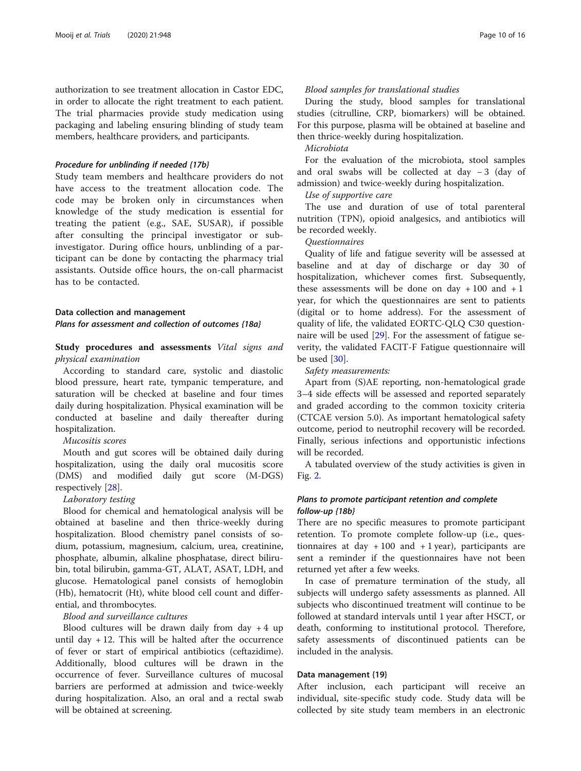authorization to see treatment allocation in Castor EDC, in order to allocate the right treatment to each patient. The trial pharmacies provide study medication using packaging and labeling ensuring blinding of study team members, healthcare providers, and participants.

## Procedure for unblinding if needed {17b}

Study team members and healthcare providers do not have access to the treatment allocation code. The code may be broken only in circumstances when knowledge of the study medication is essential for treating the patient (e.g., SAE, SUSAR), if possible after consulting the principal investigator or subinvestigator. During office hours, unblinding of a participant can be done by contacting the pharmacy trial assistants. Outside office hours, the on-call pharmacist has to be contacted.

## Data collection and management Plans for assessment and collection of outcomes {18a}

## Study procedures and assessments Vital signs and physical examination

According to standard care, systolic and diastolic blood pressure, heart rate, tympanic temperature, and saturation will be checked at baseline and four times daily during hospitalization. Physical examination will be conducted at baseline and daily thereafter during hospitalization.

## Mucositis scores

Mouth and gut scores will be obtained daily during hospitalization, using the daily oral mucositis score (DMS) and modified daily gut score (M-DGS) respectively [\[28](#page-15-0)].

## Laboratory testing

Blood for chemical and hematological analysis will be obtained at baseline and then thrice-weekly during hospitalization. Blood chemistry panel consists of sodium, potassium, magnesium, calcium, urea, creatinine, phosphate, albumin, alkaline phosphatase, direct bilirubin, total bilirubin, gamma-GT, ALAT, ASAT, LDH, and glucose. Hematological panel consists of hemoglobin (Hb), hematocrit (Ht), white blood cell count and differential, and thrombocytes.

### Blood and surveillance cultures

Blood cultures will be drawn daily from day  $+4$  up until day  $+12$ . This will be halted after the occurrence of fever or start of empirical antibiotics (ceftazidime). Additionally, blood cultures will be drawn in the occurrence of fever. Surveillance cultures of mucosal barriers are performed at admission and twice-weekly during hospitalization. Also, an oral and a rectal swab will be obtained at screening.

#### Blood samples for translational studies

During the study, blood samples for translational studies (citrulline, CRP, biomarkers) will be obtained. For this purpose, plasma will be obtained at baseline and then thrice-weekly during hospitalization.

### Microbiota

For the evaluation of the microbiota, stool samples and oral swabs will be collected at day − 3 (day of admission) and twice-weekly during hospitalization.

## Use of supportive care

The use and duration of use of total parenteral nutrition (TPN), opioid analgesics, and antibiotics will be recorded weekly.

#### **Ouestionnaires**

Quality of life and fatigue severity will be assessed at baseline and at day of discharge or day 30 of hospitalization, whichever comes first. Subsequently, these assessments will be done on day  $+100$  and  $+1$ year, for which the questionnaires are sent to patients (digital or to home address). For the assessment of quality of life, the validated EORTC-QLQ C30 question-naire will be used [\[29](#page-15-0)]. For the assessment of fatigue severity, the validated FACIT-F Fatigue questionnaire will be used [\[30\]](#page-15-0).

## Safety measurements:

Apart from (S)AE reporting, non-hematological grade 3–4 side effects will be assessed and reported separately and graded according to the common toxicity criteria (CTCAE version 5.0). As important hematological safety outcome, period to neutrophil recovery will be recorded. Finally, serious infections and opportunistic infections will be recorded.

A tabulated overview of the study activities is given in Fig. [2](#page-8-0).

## Plans to promote participant retention and complete follow-up {18b}

There are no specific measures to promote participant retention. To promote complete follow-up (i.e., questionnaires at day  $+100$  and  $+1$  year), participants are sent a reminder if the questionnaires have not been returned yet after a few weeks.

In case of premature termination of the study, all subjects will undergo safety assessments as planned. All subjects who discontinued treatment will continue to be followed at standard intervals until 1 year after HSCT, or death, conforming to institutional protocol. Therefore, safety assessments of discontinued patients can be included in the analysis.

#### Data management {19}

After inclusion, each participant will receive an individual, site-specific study code. Study data will be collected by site study team members in an electronic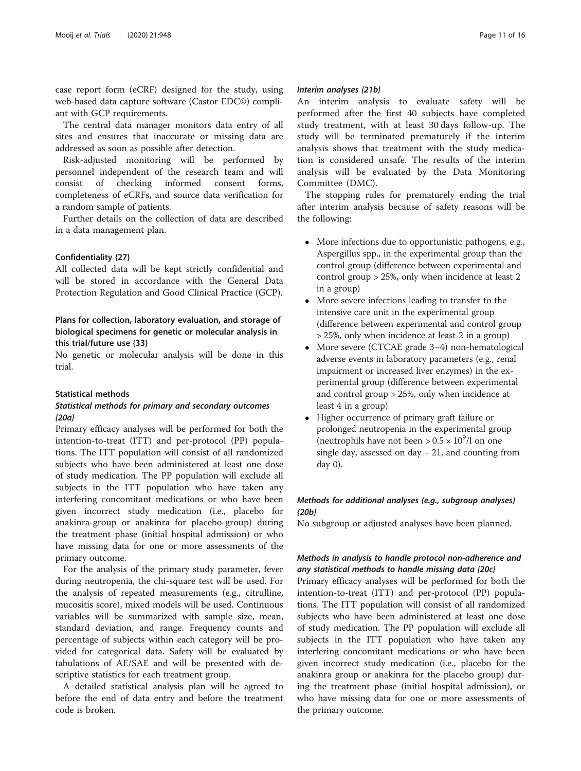case report form (eCRF) designed for the study, using web-based data capture software (Castor EDC©) compliant with GCP requirements.

The central data manager monitors data entry of all sites and ensures that inaccurate or missing data are addressed as soon as possible after detection.

Risk-adjusted monitoring will be performed by personnel independent of the research team and will consist of checking informed consent forms, completeness of eCRFs, and source data verification for a random sample of patients.

Further details on the collection of data are described in a data management plan.

## Confidentiality {27}

All collected data will be kept strictly confidential and will be stored in accordance with the General Data Protection Regulation and Good Clinical Practice (GCP).

## Plans for collection, laboratory evaluation, and storage of biological specimens for genetic or molecular analysis in this trial/future use {33}

No genetic or molecular analysis will be done in this trial.

## Statistical methods

## Statistical methods for primary and secondary outcomes {20a}

Primary efficacy analyses will be performed for both the intention-to-treat (ITT) and per-protocol (PP) populations. The ITT population will consist of all randomized subjects who have been administered at least one dose of study medication. The PP population will exclude all subjects in the ITT population who have taken any interfering concomitant medications or who have been given incorrect study medication (i.e., placebo for anakinra-group or anakinra for placebo-group) during the treatment phase (initial hospital admission) or who have missing data for one or more assessments of the primary outcome.

For the analysis of the primary study parameter, fever during neutropenia, the chi-square test will be used. For the analysis of repeated measurements (e.g., citrulline, mucositis score), mixed models will be used. Continuous variables will be summarized with sample size, mean, standard deviation, and range. Frequency counts and percentage of subjects within each category will be provided for categorical data. Safety will be evaluated by tabulations of AE/SAE and will be presented with descriptive statistics for each treatment group.

A detailed statistical analysis plan will be agreed to before the end of data entry and before the treatment code is broken.

## Interim analyses {21b}

An interim analysis to evaluate safety will be performed after the first 40 subjects have completed study treatment, with at least 30 days follow-up. The study will be terminated prematurely if the interim analysis shows that treatment with the study medication is considered unsafe. The results of the interim analysis will be evaluated by the Data Monitoring Committee (DMC).

The stopping rules for prematurely ending the trial after interim analysis because of safety reasons will be the following:

- More infections due to opportunistic pathogens, e.g., Aspergillus spp., in the experimental group than the control group (difference between experimental and control group > 25%, only when incidence at least 2 in a group)
- More severe infections leading to transfer to the intensive care unit in the experimental group (difference between experimental and control group > 25%, only when incidence at least 2 in a group)
- More severe (CTCAE grade 3–4) non-hematological adverse events in laboratory parameters (e.g., renal impairment or increased liver enzymes) in the experimental group (difference between experimental and control group > 25%, only when incidence at least 4 in a group)
- Higher occurrence of primary graft failure or prolonged neutropenia in the experimental group (neutrophils have not been  $> 0.5 \times 10^9$ /l on one single day, assessed on day  $+21$ , and counting from day 0).

## Methods for additional analyses (e.g., subgroup analyses) {20b}

No subgroup or adjusted analyses have been planned.

## Methods in analysis to handle protocol non-adherence and any statistical methods to handle missing data {20c}

Primary efficacy analyses will be performed for both the intention-to-treat (ITT) and per-protocol (PP) populations. The ITT population will consist of all randomized subjects who have been administered at least one dose of study medication. The PP population will exclude all subjects in the ITT population who have taken any interfering concomitant medications or who have been given incorrect study medication (i.e., placebo for the anakinra group or anakinra for the placebo group) during the treatment phase (initial hospital admission), or who have missing data for one or more assessments of the primary outcome.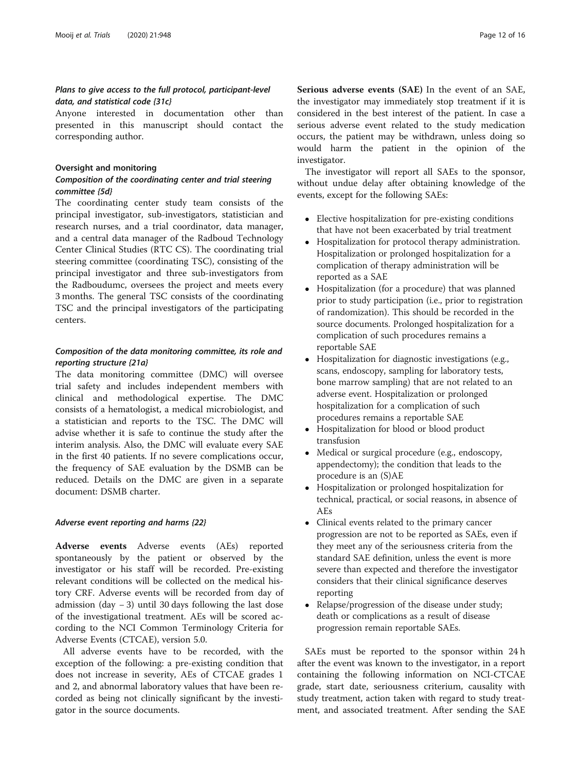## Plans to give access to the full protocol, participant-level data, and statistical code {31c}

Anyone interested in documentation other than presented in this manuscript should contact the corresponding author.

### Oversight and monitoring

## Composition of the coordinating center and trial steering committee {5d}

The coordinating center study team consists of the principal investigator, sub-investigators, statistician and research nurses, and a trial coordinator, data manager, and a central data manager of the Radboud Technology Center Clinical Studies (RTC CS). The coordinating trial steering committee (coordinating TSC), consisting of the principal investigator and three sub-investigators from the Radboudumc, oversees the project and meets every 3 months. The general TSC consists of the coordinating TSC and the principal investigators of the participating centers.

## Composition of the data monitoring committee, its role and reporting structure {21a}

The data monitoring committee (DMC) will oversee trial safety and includes independent members with clinical and methodological expertise. The DMC consists of a hematologist, a medical microbiologist, and a statistician and reports to the TSC. The DMC will advise whether it is safe to continue the study after the interim analysis. Also, the DMC will evaluate every SAE in the first 40 patients. If no severe complications occur, the frequency of SAE evaluation by the DSMB can be reduced. Details on the DMC are given in a separate document: DSMB charter.

### Adverse event reporting and harms {22}

Adverse events Adverse events (AEs) reported spontaneously by the patient or observed by the investigator or his staff will be recorded. Pre-existing relevant conditions will be collected on the medical history CRF. Adverse events will be recorded from day of admission (day − 3) until 30 days following the last dose of the investigational treatment. AEs will be scored according to the NCI Common Terminology Criteria for Adverse Events (CTCAE), version 5.0.

All adverse events have to be recorded, with the exception of the following: a pre-existing condition that does not increase in severity, AEs of CTCAE grades 1 and 2, and abnormal laboratory values that have been recorded as being not clinically significant by the investigator in the source documents.

Serious adverse events (SAE) In the event of an SAE, the investigator may immediately stop treatment if it is considered in the best interest of the patient. In case a serious adverse event related to the study medication occurs, the patient may be withdrawn, unless doing so would harm the patient in the opinion of the investigator.

The investigator will report all SAEs to the sponsor, without undue delay after obtaining knowledge of the events, except for the following SAEs:

- Elective hospitalization for pre-existing conditions that have not been exacerbated by trial treatment
- Hospitalization for protocol therapy administration. Hospitalization or prolonged hospitalization for a complication of therapy administration will be reported as a SAE
- Hospitalization (for a procedure) that was planned prior to study participation (i.e., prior to registration of randomization). This should be recorded in the source documents. Prolonged hospitalization for a complication of such procedures remains a reportable SAE
- Hospitalization for diagnostic investigations (e.g., scans, endoscopy, sampling for laboratory tests, bone marrow sampling) that are not related to an adverse event. Hospitalization or prolonged hospitalization for a complication of such procedures remains a reportable SAE
- Hospitalization for blood or blood product transfusion
- Medical or surgical procedure (e.g., endoscopy, appendectomy); the condition that leads to the procedure is an (S)AE
- Hospitalization or prolonged hospitalization for technical, practical, or social reasons, in absence of AEs
- Clinical events related to the primary cancer progression are not to be reported as SAEs, even if they meet any of the seriousness criteria from the standard SAE definition, unless the event is more severe than expected and therefore the investigator considers that their clinical significance deserves reporting
- Relapse/progression of the disease under study; death or complications as a result of disease progression remain reportable SAEs.

SAEs must be reported to the sponsor within 24 h after the event was known to the investigator, in a report containing the following information on NCI-CTCAE grade, start date, seriousness criterium, causality with study treatment, action taken with regard to study treatment, and associated treatment. After sending the SAE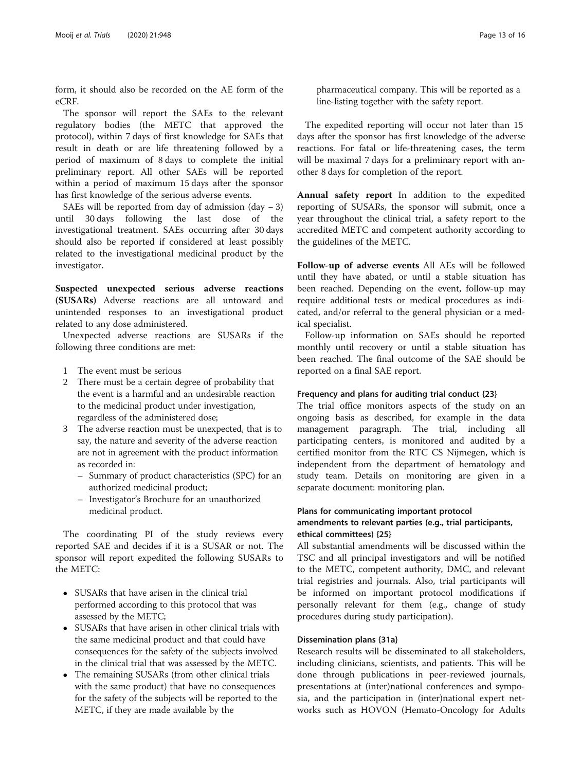form, it should also be recorded on the AE form of the  $\triangle$ CRF

The sponsor will report the SAEs to the relevant regulatory bodies (the METC that approved the protocol), within 7 days of first knowledge for SAEs that result in death or are life threatening followed by a period of maximum of 8 days to complete the initial preliminary report. All other SAEs will be reported within a period of maximum 15 days after the sponsor has first knowledge of the serious adverse events.

SAEs will be reported from day of admission (day  $-3$ ) until 30 days following the last dose of the investigational treatment. SAEs occurring after 30 days should also be reported if considered at least possibly related to the investigational medicinal product by the investigator.

Suspected unexpected serious adverse reactions (SUSARs) Adverse reactions are all untoward and unintended responses to an investigational product related to any dose administered.

Unexpected adverse reactions are SUSARs if the following three conditions are met:

- 1 The event must be serious
- 2 There must be a certain degree of probability that the event is a harmful and an undesirable reaction to the medicinal product under investigation, regardless of the administered dose;
- 3 The adverse reaction must be unexpected, that is to say, the nature and severity of the adverse reaction are not in agreement with the product information as recorded in:
	- Summary of product characteristics (SPC) for an authorized medicinal product;
	- Investigator's Brochure for an unauthorized medicinal product.

The coordinating PI of the study reviews every reported SAE and decides if it is a SUSAR or not. The sponsor will report expedited the following SUSARs to the METC:

- SUSARs that have arisen in the clinical trial performed according to this protocol that was assessed by the METC;
- SUSARs that have arisen in other clinical trials with the same medicinal product and that could have consequences for the safety of the subjects involved in the clinical trial that was assessed by the METC.
- The remaining SUSARs (from other clinical trials with the same product) that have no consequences for the safety of the subjects will be reported to the METC, if they are made available by the

pharmaceutical company. This will be reported as a line-listing together with the safety report.

The expedited reporting will occur not later than 15 days after the sponsor has first knowledge of the adverse reactions. For fatal or life-threatening cases, the term will be maximal 7 days for a preliminary report with another 8 days for completion of the report.

Annual safety report In addition to the expedited reporting of SUSARs, the sponsor will submit, once a year throughout the clinical trial, a safety report to the accredited METC and competent authority according to the guidelines of the METC.

Follow-up of adverse events All AEs will be followed until they have abated, or until a stable situation has been reached. Depending on the event, follow-up may require additional tests or medical procedures as indicated, and/or referral to the general physician or a medical specialist.

Follow-up information on SAEs should be reported monthly until recovery or until a stable situation has been reached. The final outcome of the SAE should be reported on a final SAE report.

## Frequency and plans for auditing trial conduct {23}

The trial office monitors aspects of the study on an ongoing basis as described, for example in the data management paragraph. The trial, including all participating centers, is monitored and audited by a certified monitor from the RTC CS Nijmegen, which is independent from the department of hematology and study team. Details on monitoring are given in a separate document: monitoring plan.

## Plans for communicating important protocol amendments to relevant parties (e.g., trial participants, ethical committees) {25}

All substantial amendments will be discussed within the TSC and all principal investigators and will be notified to the METC, competent authority, DMC, and relevant trial registries and journals. Also, trial participants will be informed on important protocol modifications if personally relevant for them (e.g., change of study procedures during study participation).

### Dissemination plans {31a}

Research results will be disseminated to all stakeholders, including clinicians, scientists, and patients. This will be done through publications in peer-reviewed journals, presentations at (inter)national conferences and symposia, and the participation in (inter)national expert networks such as HOVON (Hemato-Oncology for Adults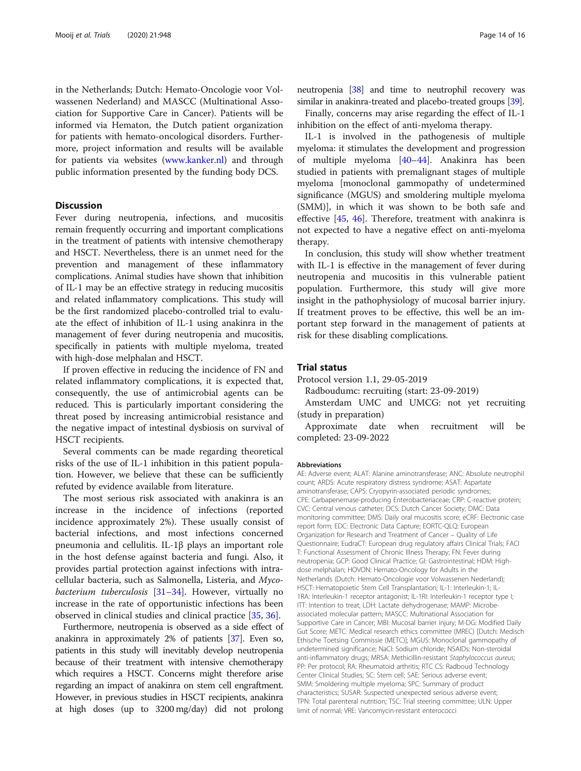in the Netherlands; Dutch: Hemato-Oncologie voor Volwassenen Nederland) and MASCC (Multinational Association for Supportive Care in Cancer). Patients will be informed via Hematon, the Dutch patient organization for patients with hemato-oncological disorders. Furthermore, project information and results will be available for patients via websites [\(www.kanker.nl\)](http://www.kanker.nl) and through public information presented by the funding body DCS.

## **Discussion**

Fever during neutropenia, infections, and mucositis remain frequently occurring and important complications in the treatment of patients with intensive chemotherapy and HSCT. Nevertheless, there is an unmet need for the prevention and management of these inflammatory complications. Animal studies have shown that inhibition of IL-1 may be an effective strategy in reducing mucositis and related inflammatory complications. This study will be the first randomized placebo-controlled trial to evaluate the effect of inhibition of IL-1 using anakinra in the management of fever during neutropenia and mucositis, specifically in patients with multiple myeloma, treated with high-dose melphalan and HSCT.

If proven effective in reducing the incidence of FN and related inflammatory complications, it is expected that, consequently, the use of antimicrobial agents can be reduced. This is particularly important considering the threat posed by increasing antimicrobial resistance and the negative impact of intestinal dysbiosis on survival of HSCT recipients.

Several comments can be made regarding theoretical risks of the use of IL-1 inhibition in this patient population. However, we believe that these can be sufficiently refuted by evidence available from literature.

The most serious risk associated with anakinra is an increase in the incidence of infections (reported incidence approximately 2%). These usually consist of bacterial infections, and most infections concerned pneumonia and cellulitis. IL-1β plays an important role in the host defense against bacteria and fungi. Also, it provides partial protection against infections with intracellular bacteria, such as Salmonella, Listeria, and Mycobacterium tuberculosis  $[31-34]$  $[31-34]$  $[31-34]$ . However, virtually no increase in the rate of opportunistic infections has been observed in clinical studies and clinical practice [[35,](#page-15-0) [36\]](#page-15-0).

Furthermore, neutropenia is observed as a side effect of anakinra in approximately 2% of patients [\[37\]](#page-15-0). Even so, patients in this study will inevitably develop neutropenia because of their treatment with intensive chemotherapy which requires a HSCT. Concerns might therefore arise regarding an impact of anakinra on stem cell engraftment. However, in previous studies in HSCT recipients, anakinra at high doses (up to 3200 mg/day) did not prolong

neutropenia [\[38](#page-15-0)] and time to neutrophil recovery was similar in anakinra-treated and placebo-treated groups [\[39\]](#page-15-0).

Finally, concerns may arise regarding the effect of IL-1 inhibition on the effect of anti-myeloma therapy.

IL-1 is involved in the pathogenesis of multiple myeloma: it stimulates the development and progression of multiple myeloma [\[40](#page-15-0)–[44\]](#page-15-0). Anakinra has been studied in patients with premalignant stages of multiple myeloma [monoclonal gammopathy of undetermined significance (MGUS) and smoldering multiple myeloma (SMM)], in which it was shown to be both safe and effective [\[45](#page-15-0), [46](#page-15-0)]. Therefore, treatment with anakinra is not expected to have a negative effect on anti-myeloma therapy.

In conclusion, this study will show whether treatment with IL-1 is effective in the management of fever during neutropenia and mucositis in this vulnerable patient population. Furthermore, this study will give more insight in the pathophysiology of mucosal barrier injury. If treatment proves to be effective, this well be an important step forward in the management of patients at risk for these disabling complications.

### Trial status

Protocol version 1.1, 29-05-2019

Radboudumc: recruiting (start: 23-09-2019)

Amsterdam UMC and UMCG: not yet recruiting (study in preparation)

Approximate date when recruitment will be completed: 23-09-2022

#### Abbreviations

AE: Adverse event; ALAT: Alanine aminotransferase; ANC: Absolute neutrophil count; ARDS: Acute respiratory distress syndrome; ASAT: Aspartate aminotransferase; CAPS: Cryopyrin-associated periodic syndromes; CPE: Carbapenemase-producing Enterobacteriaceae; CRP: C-reactive protein; CVC: Central venous catheter; DCS: Dutch Cancer Society; DMC: Data monitoring committee; DMS: Daily oral mucositis score; eCRF: Electronic case report form; EDC: Electronic Data Capture; EORTC-QLQ: European Organization for Research and Treatment of Cancer – Quality of Life Questionnaire; EudraCT: European drug regulatory affairs Clinical Trials; FACI T: Functional Assessment of Chronic Illness Therapy; FN: Fever during neutropenia; GCP: Good Clinical Practice; GI: Gastrointestinal; HDM: Highdose melphalan; HOVON: Hemato-Oncology for Adults in the Netherlands (Dutch: Hemato-Oncologie voor Volwassenen Nederland); HSCT: Hematopoietic Stem Cell Transplantation; IL-1: Interleukin-1; IL-1RA: Interleukin-1 receptor antagonist; IL-1RI: Interleukin-1 receptor type I; ITT: Intention to treat; LDH: Lactate dehydrogenase; MAMP: Microbeassociated molecular pattern; MASCC: Multinational Association for Supportive Care in Cancer; MBI: Mucosal barrier injury; M-DG: Modified Daily Gut Score; METC: Medical research ethics committee (MREC) [Dutch: Medisch Ethische Toetsing Commissie (METC)]; MGUS: Monoclonal gammopathy of undetermined significance; NaCl: Sodium chloride; NSAIDs: Non-steroidal anti-inflammatory drugs; MRSA: Methicillin-resistant Staphylococcus aureus; PP: Per protocol; RA: Rheumatoid arthritis; RTC CS: Radboud Technology Center Clinical Studies; SC: Stem cell; SAE: Serious adverse event; SMM: Smoldering multiple myeloma; SPC: Summary of product characteristics; SUSAR: Suspected unexpected serious adverse event; TPN: Total parenteral nutrition; TSC: Trial steering committee; ULN: Upper limit of normal; VRE: Vancomycin-resistant enterococci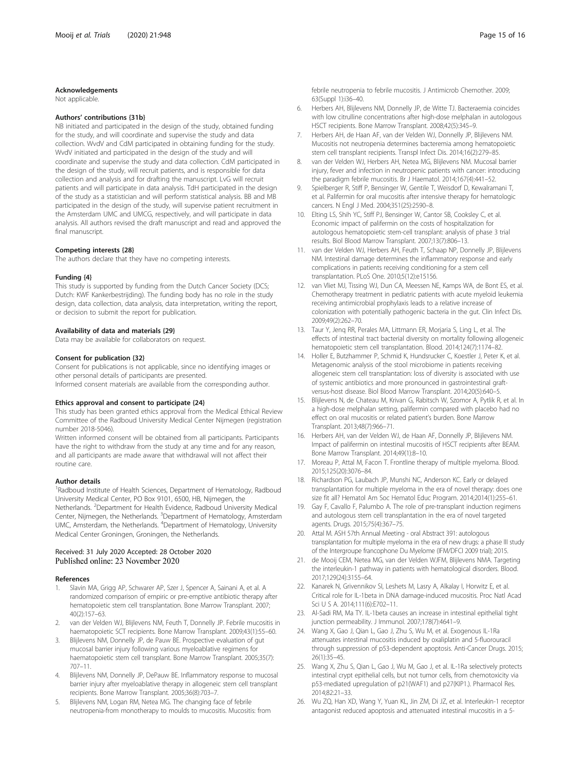#### <span id="page-14-0"></span>Acknowledgements

Not applicable.

#### Authors' contributions {31b}

NB initiated and participated in the design of the study, obtained funding for the study, and will coordinate and supervise the study and data collection. WvdV and CdM participated in obtaining funding for the study. WvdV initiated and participated in the design of the study and will coordinate and supervise the study and data collection. CdM participated in the design of the study, will recruit patients, and is responsible for data collection and analysis and for drafting the manuscript. LvG will recruit patients and will participate in data analysis. TdH participated in the design of the study as a statistician and will perform statistical analysis. BB and MB participated in the design of the study, will supervise patient recruitment in the Amsterdam UMC and UMCG, respectively, and will participate in data analysis. All authors revised the draft manuscript and read and approved the final manuscript.

#### Competing interests {28}

The authors declare that they have no competing interests.

#### Funding {4}

This study is supported by funding from the Dutch Cancer Society (DCS; Dutch: KWF Kankerbestrijding). The funding body has no role in the study design, data collection, data analysis, data interpretation, writing the report, or decision to submit the report for publication.

#### Availability of data and materials {29}

Data may be available for collaborators on request.

## Consent for publication {32}

Consent for publications is not applicable, since no identifying images or other personal details of participants are presented. Informed consent materials are available from the corresponding author.

#### Ethics approval and consent to participate {24}

This study has been granted ethics approval from the Medical Ethical Review Committee of the Radboud University Medical Center Nijmegen (registration number 2018-5046).

Written informed consent will be obtained from all participants. Participants have the right to withdraw from the study at any time and for any reason, and all participants are made aware that withdrawal will not affect their routine care.

#### Author details

<sup>1</sup>Radboud Institute of Health Sciences, Department of Hematology, Radboud University Medical Center, PO Box 9101, 6500, HB, Nijmegen, the Netherlands. <sup>2</sup>Department for Health Evidence, Radboud University Medical Center, Nijmegen, the Netherlands. <sup>3</sup>Department of Hematology, Amsterdam UMC, Amsterdam, the Netherlands. <sup>4</sup> Department of Hematology, University Medical Center Groningen, Groningen, the Netherlands.

### Received: 31 July 2020 Accepted: 28 October 2020 Published online: 23 November 2020

#### References

- 1. Slavin MA, Grigg AP, Schwarer AP, Szer J, Spencer A, Sainani A, et al. A randomized comparison of empiric or pre-emptive antibiotic therapy after hematopoietic stem cell transplantation. Bone Marrow Transplant. 2007; 40(2):157–63.
- 2. van der Velden WJ, Blijlevens NM, Feuth T, Donnelly JP. Febrile mucositis in haematopoietic SCT recipients. Bone Marrow Transplant. 2009;43(1):55–60.
- 3. Blijlevens NM, Donnelly JP, de Pauw BE. Prospective evaluation of gut mucosal barrier injury following various myeloablative regimens for haematopoietic stem cell transplant. Bone Marrow Transplant. 2005;35(7): 707–11.
- 4. Blijlevens NM, Donnelly JP, DePauw BE. Inflammatory response to mucosal barrier injury after myeloablative therapy in allogeneic stem cell transplant recipients. Bone Marrow Transplant. 2005;36(8):703–7.
- 5. Blijlevens NM, Logan RM, Netea MG. The changing face of febrile neutropenia-from monotherapy to moulds to mucositis. Mucositis: from

febrile neutropenia to febrile mucositis. J Antimicrob Chemother. 2009; 63(Suppl 1):i36–40.

- 6. Herbers AH, Blijlevens NM, Donnelly JP, de Witte TJ. Bacteraemia coincides with low citrulline concentrations after high-dose melphalan in autologous HSCT recipients. Bone Marrow Transplant. 2008;42(5):345–9.
- 7. Herbers AH, de Haan AF, van der Velden WJ, Donnelly JP, Blijlevens NM. Mucositis not neutropenia determines bacteremia among hematopoietic stem cell transplant recipients. Transpl Infect Dis. 2014;16(2):279–85.
- 8. van der Velden WJ, Herbers AH, Netea MG, Blijlevens NM. Mucosal barrier injury, fever and infection in neutropenic patients with cancer: introducing the paradigm febrile mucositis. Br J Haematol. 2014;167(4):441–52.
- 9. Spielberger R, Stiff P, Bensinger W, Gentile T, Weisdorf D, Kewalramani T, et al. Palifermin for oral mucositis after intensive therapy for hematologic cancers. N Engl J Med. 2004;351(25):2590–8.
- 10. Elting LS, Shih YC, Stiff PJ, Bensinger W, Cantor SB, Cooksley C, et al. Economic impact of palifermin on the costs of hospitalization for autologous hematopoietic stem-cell transplant: analysis of phase 3 trial results. Biol Blood Marrow Transplant. 2007;13(7):806–13.
- 11. van der Velden WJ, Herbers AH, Feuth T, Schaap NP, Donnelly JP, Blijlevens NM. Intestinal damage determines the inflammatory response and early complications in patients receiving conditioning for a stem cell transplantation. PLoS One. 2010;5(12):e15156.
- 12. van Vliet MJ, Tissing WJ, Dun CA, Meessen NE, Kamps WA, de Bont ES, et al. Chemotherapy treatment in pediatric patients with acute myeloid leukemia receiving antimicrobial prophylaxis leads to a relative increase of colonization with potentially pathogenic bacteria in the gut. Clin Infect Dis. 2009;49(2):262–70.
- 13. Taur Y, Jenq RR, Perales MA, Littmann ER, Morjaria S, Ling L, et al. The effects of intestinal tract bacterial diversity on mortality following allogeneic hematopoietic stem cell transplantation. Blood. 2014;124(7):1174–82.
- 14. Holler E, Butzhammer P, Schmid K, Hundsrucker C, Koestler J, Peter K, et al. Metagenomic analysis of the stool microbiome in patients receiving allogeneic stem cell transplantation: loss of diversity is associated with use of systemic antibiotics and more pronounced in gastrointestinal graftversus-host disease. Biol Blood Marrow Transplant. 2014;20(5):640–5.
- 15. Blijlevens N, de Chateau M, Krivan G, Rabitsch W, Szomor A, Pytlik R, et al. In a high-dose melphalan setting, palifermin compared with placebo had no effect on oral mucositis or related patient's burden. Bone Marrow Transplant. 2013;48(7):966–71.
- 16. Herbers AH, van der Velden WJ, de Haan AF, Donnelly JP, Blijlevens NM. Impact of palifermin on intestinal mucositis of HSCT recipients after BEAM. Bone Marrow Transplant. 2014;49(1):8–10.
- 17. Moreau P, Attal M, Facon T. Frontline therapy of multiple myeloma. Blood. 2015;125(20):3076–84.
- 18. Richardson PG, Laubach JP, Munshi NC, Anderson KC. Early or delayed transplantation for multiple myeloma in the era of novel therapy: does one size fit all? Hematol Am Soc Hematol Educ Program. 2014;2014(1):255–61.
- 19. Gay F, Cavallo F, Palumbo A. The role of pre-transplant induction regimens and autologous stem cell transplantation in the era of novel targeted agents. Drugs. 2015;75(4):367–75.
- 20. Attal M. ASH 57th Annual Meeting oral Abstract 391: autologous transplantation for multiple myeloma in the era of new drugs: a phase III study of the Intergroupe francophone Du Myelome (IFM/DFCI 2009 trial); 2015.
- 21. de Mooij CEM, Netea MG, van der Velden WJFM, Blijlevens NMA. Targeting the interleukin-1 pathway in patients with hematological disorders. Blood. 2017;129(24):3155–64.
- 22. Kanarek N, Grivennikov SI, Leshets M, Lasry A, Alkalay I, Horwitz E, et al. Critical role for IL-1beta in DNA damage-induced mucositis. Proc Natl Acad Sci U S A. 2014;111(6):E702–11.
- 23. Al-Sadi RM, Ma TY. IL-1beta causes an increase in intestinal epithelial tight junction permeability. J Immunol. 2007;178(7):4641–9.
- 24. Wang X, Gao J, Qian L, Gao J, Zhu S, Wu M, et al. Exogenous IL-1Ra attenuates intestinal mucositis induced by oxaliplatin and 5-fluorouracil through suppression of p53-dependent apoptosis. Anti-Cancer Drugs. 2015; 26(1):35–45.
- 25. Wang X, Zhu S, Qian L, Gao J, Wu M, Gao J, et al. IL-1Ra selectively protects intestinal crypt epithelial cells, but not tumor cells, from chemotoxicity via p53-mediated upregulation of p21(WAF1) and p27(KIP1.). Pharmacol Res. 2014;82:21–33.
- 26. Wu ZQ, Han XD, Wang Y, Yuan KL, Jin ZM, Di JZ, et al. Interleukin-1 receptor antagonist reduced apoptosis and attenuated intestinal mucositis in a 5-